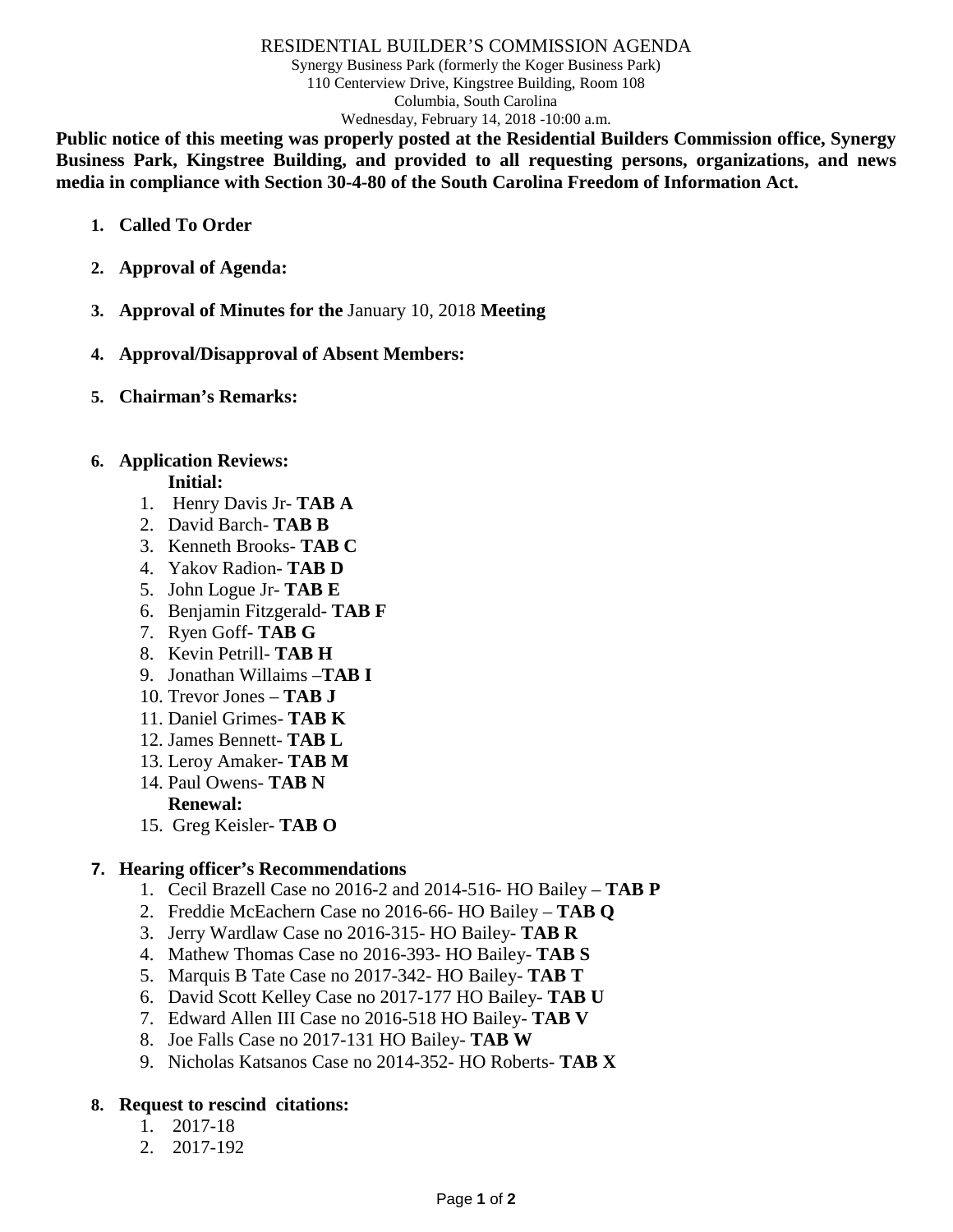#### RESIDENTIAL BUILDER'S COMMISSION AGENDA

Synergy Business Park (formerly the Koger Business Park) 110 Centerview Drive, Kingstree Building, Room 108 Columbia, South Carolina Wednesday, February 14, 2018 -10:00 a.m.

**Public notice of this meeting was properly posted at the Residential Builders Commission office, Synergy Business Park, Kingstree Building, and provided to all requesting persons, organizations, and news media in compliance with Section 30-4-80 of the South Carolina Freedom of Information Act.**

- **1. Called To Order**
- **2. Approval of Agenda:**
- **3. Approval of Minutes for the** January 10, 2018 **Meeting**
- **4. Approval/Disapproval of Absent Members:**
- **5. Chairman's Remarks:**

# **6. Application Reviews:**

# **Initial:**

- 1. Henry Davis Jr- **TAB A**
- 2. David Barch- **TAB B**
- 3. Kenneth Brooks- **TAB C**
- 4. Yakov Radion- **TAB D**
- 5. John Logue Jr- **TAB E**
- 6. Benjamin Fitzgerald- **TAB F**
- 7. Ryen Goff- **TAB G**
- 8. Kevin Petrill- **TAB H**
- 9. Jonathan Willaims –**TAB I**
- 10. Trevor Jones **TAB J**
- 11. Daniel Grimes- **TAB K**
- 12. James Bennett- **TAB L**
- 13. Leroy Amaker- **TAB M**
- 14. Paul Owens- **TAB N Renewal:**
- 15. Greg Keisler- **TAB O**

# **7. Hearing officer's Recommendations**

- 1. Cecil Brazell Case no 2016-2 and 2014-516- HO Bailey **TAB P**
- 2. Freddie McEachern Case no 2016-66- HO Bailey **TAB Q**
- 3. Jerry Wardlaw Case no 2016-315- HO Bailey- **TAB R**
- 4. Mathew Thomas Case no 2016-393- HO Bailey- **TAB S**
- 5. Marquis B Tate Case no 2017-342- HO Bailey- **TAB T**
- 6. David Scott Kelley Case no 2017-177 HO Bailey- **TAB U**
- 7. Edward Allen III Case no 2016-518 HO Bailey- **TAB V**
- 8. Joe Falls Case no 2017-131 HO Bailey- **TAB W**
- 9. Nicholas Katsanos Case no 2014-352- HO Roberts- **TAB X**

# **8. Request to rescind citations:**

- 1. 2017-18
- 2. 2017-192